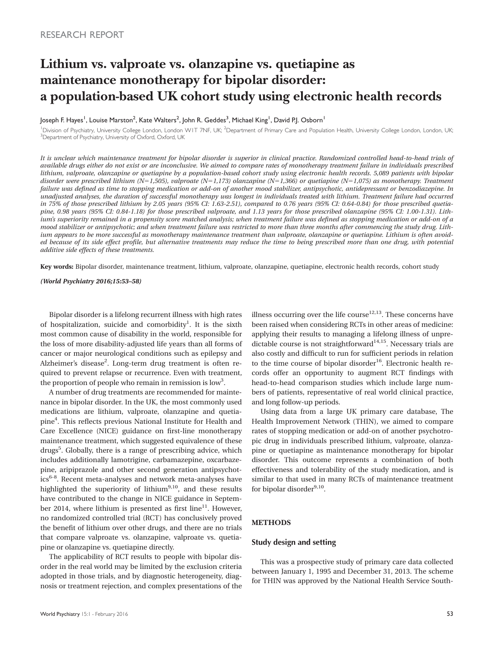# Lithium vs. valproate vs. olanzapine vs. quetiapine as maintenance monotherapy for bipolar disorder: a population-based UK cohort study using electronic health records

## Joseph F. Hayes<sup>1</sup>, Louise Marston<sup>2</sup>, Kate Walters<sup>2</sup>, John R. Geddes<sup>3</sup>, Michael King<sup>1</sup>, David P.J. Osborn<sup>1</sup>

<sup>1</sup> Division of Psychiatry, University College London, London WIT 7NF, UK; <sup>2</sup> Department of Primary Care and Population Health, University College London, London, UK;<br><sup>3</sup> Department of Psychiatry, University of Oxford Oxf <sup>3</sup>Department of Psychiatry, University of Oxford, Oxford, UK

It is unclear which maintenance treatment for bipolar disorder is superior in clinical practice. Randomized controlled head-to-head trials of available drugs either do not exist or are inconclusive. We aimed to compare rates of monotherapy treatment failure in individuals prescribed lithium, valproate, olanzapine or quetiapine by a population-based cohort study using electronic health records. 5,089 patients with bipolar disorder were prescribed lithium (N=1,505), valproate (N=1,173) olanzapine (N=1,366) or quetiapine (N=1,075) as monotherapy. Treatment failure was defined as time to stopping medication or add-on of another mood stabilizer, antipsychotic, antidepressant or benzodiazepine. In unadjusted analyses, the duration of successful monotherapy was longest in individuals treated with lithium. Treatment failure had occurred in 75% of those prescribed lithium by 2.05 years (95% CI: 1.63-2.51), compared to 0.76 years (95% CI: 0.64-0.84) for those prescribed quetiapine, 0.98 years (95% CI: 0.84-1.18) for those prescribed valproate, and 1.13 years for those prescribed olanzapine (95% CI: 1.00-1.31). Lithium's superiority remained in a propensity score matched analysis; when treatment failure was defined as stopping medication or add-on of a mood stabilizer or antipsychotic; and when treatment failure was restricted to more than three months after commencing the study drug. Lithium appears to be more successful as monotherapy maintenance treatment than valproate, olanzapine or quetiapine. Lithium is often avoided because of its side effect profile, but alternative treatments may reduce the time to being prescribed more than one drug, with potential additive side effects of these treatments.

Key words: Bipolar disorder, maintenance treatment, lithium, valproate, olanzapine, quetiapine, electronic health records, cohort study

#### (World Psychiatry 2016;15:53–58)

Bipolar disorder is a lifelong recurrent illness with high rates of hospitalization, suicide and comorbidity<sup>1</sup>. It is the sixth most common cause of disability in the world, responsible for the loss of more disability-adjusted life years than all forms of cancer or major neurological conditions such as epilepsy and Alzheimer's disease<sup>2</sup>. Long-term drug treatment is often required to prevent relapse or recurrence. Even with treatment, the proportion of people who remain in remission is  $\text{low}^3$ .

A number of drug treatments are recommended for maintenance in bipolar disorder. In the UK, the most commonly used medications are lithium, valproate, olanzapine and quetiapine<sup>4</sup> . This reflects previous National Institute for Health and Care Excellence (NICE) guidance on first-line monotherapy maintenance treatment, which suggested equivalence of these drugs<sup>5</sup>. Globally, there is a range of prescribing advice, which includes additionally lamotrigine, carbamazepine, oxcarbazepine, aripiprazole and other second generation antipsychotics<sup>6-8</sup>. Recent meta-analyses and network meta-analyses have highlighted the superiority of lithium<sup>9,10</sup>, and these results have contributed to the change in NICE guidance in September 2014, where lithium is presented as first line $^{11}$ . However, no randomized controlled trial (RCT) has conclusively proved the benefit of lithium over other drugs, and there are no trials that compare valproate vs. olanzapine, valproate vs. quetiapine or olanzapine vs. quetiapine directly.

The applicability of RCT results to people with bipolar disorder in the real world may be limited by the exclusion criteria adopted in those trials, and by diagnostic heterogeneity, diagnosis or treatment rejection, and complex presentations of the

World Psychiatry 15:1 - February 2016 53

illness occurring over the life course $12,13$ . These concerns have been raised when considering RCTs in other areas of medicine: applying their results to managing a lifelong illness of unpredictable course is not straightforward $14,15$ . Necessary trials are also costly and difficult to run for sufficient periods in relation to the time course of bipolar disorder<sup>16</sup>. Electronic health records offer an opportunity to augment RCT findings with head-to-head comparison studies which include large numbers of patients, representative of real world clinical practice, and long follow-up periods.

Using data from a large UK primary care database, The Health Improvement Network (THIN), we aimed to compare rates of stopping medication or add-on of another psychotropic drug in individuals prescribed lithium, valproate, olanzapine or quetiapine as maintenance monotherapy for bipolar disorder. This outcome represents a combination of both effectiveness and tolerability of the study medication, and is similar to that used in many RCTs of maintenance treatment for bipolar disorder $9,10$ .

#### **METHODS**

## Study design and setting

This was a prospective study of primary care data collected between January 1, 1995 and December 31, 2013. The scheme for THIN was approved by the National Health Service South-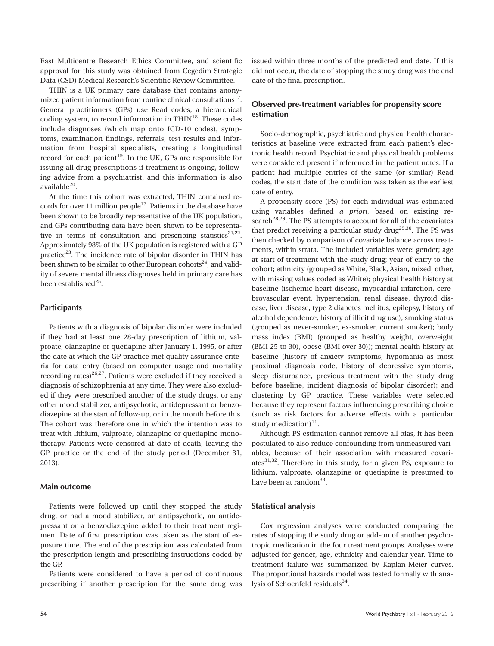East Multicentre Research Ethics Committee, and scientific approval for this study was obtained from Cegedim Strategic Data (CSD) Medical Research's Scientific Review Committee.

THIN is a UK primary care database that contains anonymized patient information from routine clinical consultations $17$ . General practitioners (GPs) use Read codes, a hierarchical coding system, to record information in THIN<sup>18</sup>. These codes include diagnoses (which map onto ICD-10 codes), symptoms, examination findings, referrals, test results and information from hospital specialists, creating a longitudinal record for each patient<sup>19</sup>. In the UK, GPs are responsible for issuing all drug prescriptions if treatment is ongoing, following advice from a psychiatrist, and this information is also available20.

At the time this cohort was extracted, THIN contained records for over 11 million people<sup>17</sup>. Patients in the database have been shown to be broadly representative of the UK population, and GPs contributing data have been shown to be representative in terms of consultation and prescribing statistics<sup>21,22</sup>. Approximately 98% of the UK population is registered with a GP practice<sup>23</sup>. The incidence rate of bipolar disorder in THIN has been shown to be similar to other European cohorts<sup>24</sup>, and validity of severe mental illness diagnoses held in primary care has been established<sup>25</sup>.

## **Participants**

Patients with a diagnosis of bipolar disorder were included if they had at least one 28-day prescription of lithium, valproate, olanzapine or quetiapine after January 1, 1995, or after the date at which the GP practice met quality assurance criteria for data entry (based on computer usage and mortality recording rates)<sup>26,27</sup>. Patients were excluded if they received a diagnosis of schizophrenia at any time. They were also excluded if they were prescribed another of the study drugs, or any other mood stabilizer, antipsychotic, antidepressant or benzodiazepine at the start of follow-up, or in the month before this. The cohort was therefore one in which the intention was to treat with lithium, valproate, olanzapine or quetiapine monotherapy. Patients were censored at date of death, leaving the GP practice or the end of the study period (December 31, 2013).

#### Main outcome

Patients were followed up until they stopped the study drug, or had a mood stabilizer, an antipsychotic, an antidepressant or a benzodiazepine added to their treatment regimen. Date of first prescription was taken as the start of exposure time. The end of the prescription was calculated from the prescription length and prescribing instructions coded by the GP.

Patients were considered to have a period of continuous prescribing if another prescription for the same drug was

# Observed pre-treatment variables for propensity score estimation

Socio-demographic, psychiatric and physical health characteristics at baseline were extracted from each patient's electronic health record. Psychiatric and physical health problems were considered present if referenced in the patient notes. If a patient had multiple entries of the same (or similar) Read codes, the start date of the condition was taken as the earliest date of entry.

A propensity score (PS) for each individual was estimated using variables defined a priori, based on existing research<sup>28,29</sup>. The PS attempts to account for all of the covariates that predict receiving a particular study drug<sup>29,30</sup>. The PS was then checked by comparison of covariate balance across treatments, within strata. The included variables were: gender; age at start of treatment with the study drug; year of entry to the cohort; ethnicity (grouped as White, Black, Asian, mixed, other, with missing values coded as White); physical health history at baseline (ischemic heart disease, myocardial infarction, cerebrovascular event, hypertension, renal disease, thyroid disease, liver disease, type 2 diabetes mellitus, epilepsy, history of alcohol dependence, history of illicit drug use); smoking status (grouped as never-smoker, ex-smoker, current smoker); body mass index (BMI) (grouped as healthy weight, overweight (BMI 25 to 30), obese (BMI over 30)); mental health history at baseline (history of anxiety symptoms, hypomania as most proximal diagnosis code, history of depressive symptoms, sleep disturbance, previous treatment with the study drug before baseline, incident diagnosis of bipolar disorder); and clustering by GP practice. These variables were selected because they represent factors influencing prescribing choice (such as risk factors for adverse effects with a particular study medication) $^{11}$ .

Although PS estimation cannot remove all bias, it has been postulated to also reduce confounding from unmeasured variables, because of their association with measured covariates $31,32$ . Therefore in this study, for a given PS, exposure to lithium, valproate, olanzapine or quetiapine is presumed to have been at random<sup>33</sup>.

## Statistical analysis

Cox regression analyses were conducted comparing the rates of stopping the study drug or add-on of another psychotropic medication in the four treatment groups. Analyses were adjusted for gender, age, ethnicity and calendar year. Time to treatment failure was summarized by Kaplan-Meier curves. The proportional hazards model was tested formally with analysis of Schoenfeld residuals<sup>34</sup>.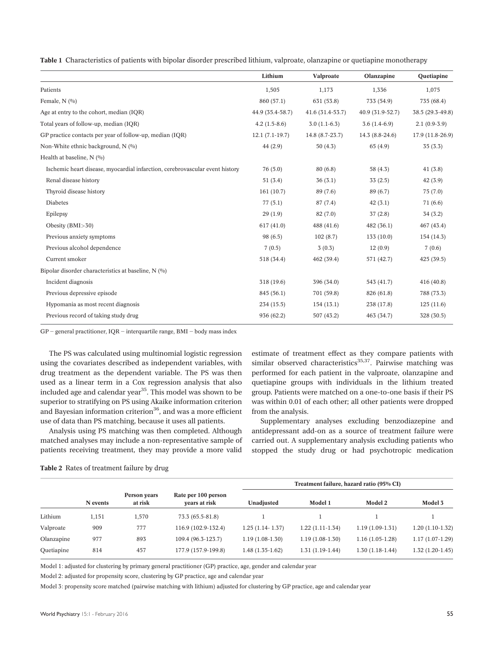Table 1 Characteristics of patients with bipolar disorder prescribed lithium, valproate, olanzapine or quetiapine monotherapy

|                                                                              | Lithium          | Valproate        | Olanzapine       | Quetiapine       |
|------------------------------------------------------------------------------|------------------|------------------|------------------|------------------|
| Patients                                                                     | 1,505            | 1,173            | 1,336            | 1,075            |
| Female, $N($ %)                                                              | 860 (57.1)       | 631 (53.8)       | 733 (54.9)       | 735 (68.4)       |
| Age at entry to the cohort, median (IQR)                                     | 44.9 (35.4-58.7) | 41.6 (31.4-53.7) | 40.9 (31.9-52.7) | 38.5 (29.3-49.8) |
| Total years of follow-up, median (IQR)                                       | $4.2(1.5-8.6)$   | $3.0(1.1-6.3)$   | $3.6(1.4-6.9)$   | $2.1(0.9-3.9)$   |
| GP practice contacts per year of follow-up, median (IQR)                     | $12.1(7.1-19.7)$ | 14.8 (8.7-23.7)  | 14.3 (8.8-24.6)  | 17.9 (11.8-26.9) |
| Non-White ethnic background, N (%)                                           | 44(2.9)          | 50(4.3)          | 65(4.9)          | 35(3.3)          |
| Health at baseline, $N$ (%)                                                  |                  |                  |                  |                  |
| Ischemic heart disease, myocardial infarction, cerebrovascular event history | 76(5.0)          | 80(6.8)          | 58 (4.3)         | 41(3.8)          |
| Renal disease history                                                        | 51(3.4)          | 36(3.1)          | 33(2.5)          | 42(3.9)          |
| Thyroid disease history                                                      | 161(10.7)        | 89 (7.6)         | 89 (6.7)         | 75(7.0)          |
| <b>Diabetes</b>                                                              | 77(5.1)          | 87(7.4)          | 42(3.1)          | 71(6.6)          |
| Epilepsy                                                                     | 29(1.9)          | 82(7.0)          | 37(2.8)          | 34(3.2)          |
| Obesity $(BMI > 30)$                                                         | 617(41.0)        | 488 (41.6)       | 482(36.1)        | 467 (43.4)       |
| Previous anxiety symptoms                                                    | 98 (6.5)         | 102(8.7)         | 133(10.0)        | 154(14.3)        |
| Previous alcohol dependence                                                  | 7(0.5)           | 3(0.3)           | 12(0.9)          | 7(0.6)           |
| Current smoker                                                               | 518 (34.4)       | 462 (39.4)       | 571 (42.7)       | 425 (39.5)       |
| Bipolar disorder characteristics at baseline, N (%)                          |                  |                  |                  |                  |
| Incident diagnosis                                                           | 318 (19.6)       | 396 (34.0)       | 543 (41.7)       | 416(40.8)        |
| Previous depressive episode                                                  | 845(56.1)        | 701 (59.8)       | 826 (61.8)       | 788 (73.3)       |
| Hypomania as most recent diagnosis                                           | 234(15.5)        | 154(13.1)        | 238 (17.8)       | 125(11.6)        |
| Previous record of taking study drug                                         | 936 (62.2)       | 507 (43.2)       | 463 (34.7)       | 328 (30.5)       |

 $GP$  – general practitioner,  $IQR$  – interquartile range, BMI – body mass index

The PS was calculated using multinomial logistic regression using the covariates described as independent variables, with drug treatment as the dependent variable. The PS was then used as a linear term in a Cox regression analysis that also included age and calendar year<sup>35</sup>. This model was shown to be superior to stratifying on PS using Akaike information criterion and Bayesian information criterion $36$ , and was a more efficient use of data than PS matching, because it uses all patients.

Analysis using PS matching was then completed. Although matched analyses may include a non-representative sample of patients receiving treatment, they may provide a more valid

estimate of treatment effect as they compare patients with similar observed characteristics $35,37$ . Pairwise matching was performed for each patient in the valproate, olanzapine and quetiapine groups with individuals in the lithium treated group. Patients were matched on a one-to-one basis if their PS was within 0.01 of each other; all other patients were dropped from the analysis.

Supplementary analyses excluding benzodiazepine and antidepressant add-on as a source of treatment failure were carried out. A supplementary analysis excluding patients who stopped the study drug or had psychotropic medication

|  |  |  | Table 2 Rates of treatment failure by drug |  |  |  |
|--|--|--|--------------------------------------------|--|--|--|
|--|--|--|--------------------------------------------|--|--|--|

|            |          |                         |                                      | Treatment failure, hazard ratio (95% CI) |                   |                   |                   |
|------------|----------|-------------------------|--------------------------------------|------------------------------------------|-------------------|-------------------|-------------------|
|            | N events | Person years<br>at risk | Rate per 100 person<br>vears at risk | Unadjusted                               | Model 1           | <b>Model 2</b>    | <b>Model 3</b>    |
| Lithium    | 1,151    | 1,570                   | 73.3 (65.5-81.8)                     |                                          |                   |                   |                   |
| Valproate  | 909      | 777                     | 116.9 (102.9-132.4)                  | $1.25(1.14-1.37)$                        | $1.22(1.11-1.34)$ | $1.19(1.09-1.31)$ | $1.20(1.10-1.32)$ |
| Olanzapine | 977      | 893                     | 109.4 (96.3-123.7)                   | $1.19(1.08-1.30)$                        | $1.19(1.08-1.30)$ | $1.16(1.05-1.28)$ | $1.17(1.07-1.29)$ |
| Quetiapine | 814      | 457                     | 177.9 (157.9-199.8)                  | $1.48(1.35-1.62)$                        | $1.31(1.19-1.44)$ | $1.30(1.18-1.44)$ | $1.32(1.20-1.45)$ |

Model 1: adjusted for clustering by primary general practitioner (GP) practice, age, gender and calendar year

Model 2: adjusted for propensity score, clustering by GP practice, age and calendar year

Model 3: propensity score matched (pairwise matching with lithium) adjusted for clustering by GP practice, age and calendar year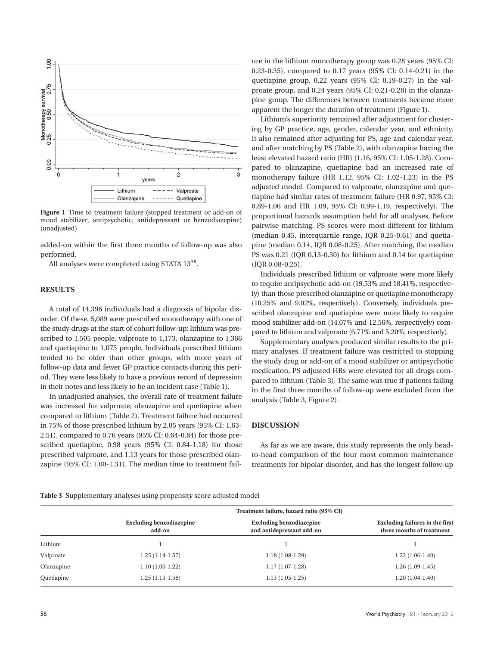

Figure 1 Time to treatment failure (stopped treatment or add-on of mood stabilizer, antipsychotic, antidepressant or benzodiazepine) (unadjusted)

added-on within the first three months of follow-up was also performed.

All analyses were completed using STATA 13<sup>38</sup>.

## **RESULTS**

A total of 14,396 individuals had a diagnosis of bipolar disorder. Of these, 5,089 were prescribed monotherapy with one of the study drugs at the start of cohort follow-up: lithium was prescribed to 1,505 people, valproate to 1,173, olanzapine to 1,366 and quetiapine to 1,075 people. Individuals prescribed lithium tended to be older than other groups, with more years of follow-up data and fewer GP practice contacts during this period. They were less likely to have a previous record of depression in their notes and less likely to be an incident case (Table 1).

In unadjusted analyses, the overall rate of treatment failure was increased for valproate, olanzapine and quetiapine when compared to lithium (Table 2). Treatment failure had occurred in 75% of those prescribed lithium by 2.05 years (95% CI: 1.63- 2.51), compared to 0.76 years (95% CI: 0.64-0.84) for those prescribed quetiapine, 0.98 years (95% CI: 0.84-1.18) for those prescribed valproate, and 1.13 years for those prescribed olanzapine (95% CI: 1.00-1.31). The median time to treatment failure in the lithium monotherapy group was 0.28 years (95% CI: 0.23-0.35), compared to 0.17 years (95% CI: 0.14-0.21) in the quetiapine group, 0.22 years (95% CI: 0.19-0.27) in the valproate group, and 0.24 years (95% CI: 0.21-0.28) in the olanzapine group. The differences between treatments became more apparent the longer the duration of treatment (Figure 1).

Lithium's superiority remained after adjustment for clustering by GP practice, age, gender, calendar year, and ethnicity. It also remained after adjusting for PS, age and calendar year, and after matching by PS (Table 2), with olanzapine having the least elevated hazard ratio (HR) (1.16, 95% CI: 1.05-1.28). Compared to olanzapine, quetiapine had an increased rate of monotherapy failure (HR 1.12, 95% CI: 1.02-1.23) in the PS adjusted model. Compared to valproate, olanzapine and quetiapine had similar rates of treatment failure (HR 0.97, 95% CI: 0.89-1.06 and HR 1.09, 95% CI: 0.99-1.19, respectively). The proportional hazards assumption held for all analyses. Before pairwise matching, PS scores were most different for lithium (median 0.45, interquartile range, IQR 0.25-0.61) and quetiapine (median 0.14, IQR 0.08-0.25). After matching, the median PS was 0.21 (IQR 0.13-0.30) for lithium and 0.14 for quetiapine (IQR 0.08-0.25).

Individuals prescribed lithium or valproate were more likely to require antipsychotic add-on (19.53% and 18.41%, respectively) than those prescribed olanzapine or quetiapine monotherapy (10.25% and 9.02%, respectively). Conversely, individuals prescribed olanzapine and quetiapine were more likely to require mood stabilizer add-on (14.07% and 12.56%, respectively) compared to lithium and valproate (6.71% and 5.20%, respectively).

Supplementary analyses produced similar results to the primary analyses. If treatment failure was restricted to stopping the study drug or add-on of a mood stabilizer or antipsychotic medication, PS adjusted HRs were elevated for all drugs compared to lithium (Table 3). The same was true if patients failing in the first three months of follow-up were excluded from the analysis (Table 3, Figure 2).

#### DISCUSSION

As far as we are aware, this study represents the only headto-head comparison of the four most common maintenance treatments for bipolar disorder, and has the longest follow-up

Table 3 Supplementary analyses using propensity score adjusted model

|            | Treatment failure, hazard ratio (95% CI)  |                                                              |                                                                     |  |  |
|------------|-------------------------------------------|--------------------------------------------------------------|---------------------------------------------------------------------|--|--|
|            | <b>Excluding benzodiazepine</b><br>add-on | <b>Excluding benzodiazepine</b><br>and antidepressant add-on | <b>Excluding failures in the first</b><br>three months of treatment |  |  |
| Lithium    |                                           |                                                              |                                                                     |  |  |
| Valproate  | $1.25(1.14-1.37)$                         | $1.18(1.08-1.29)$                                            | $1.22(1.06-1.40)$                                                   |  |  |
| Olanzapine | $1.10(1.00-1.22)$                         | $1.17(1.07-1.28)$                                            | $1.26(1.09-1.45)$                                                   |  |  |
| Quetiapine | $1.25(1.13-1.38)$                         | $1.13(1.03-1.25)$                                            | $1.20(1.04-1.40)$                                                   |  |  |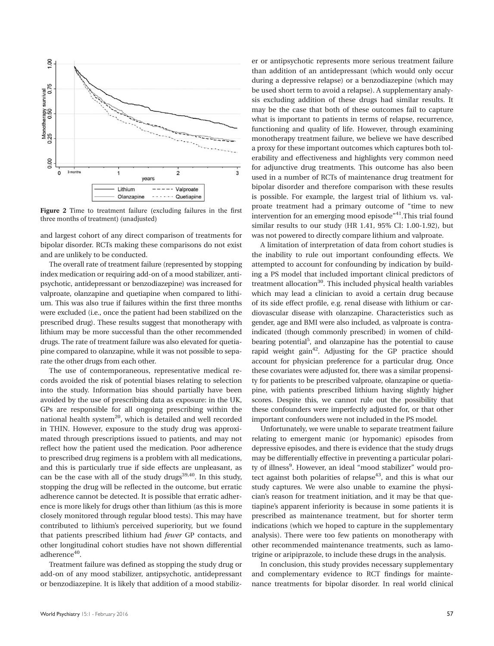

Figure 2 Time to treatment failure (excluding failures in the first three months of treatment) (unadjusted)

and largest cohort of any direct comparison of treatments for bipolar disorder. RCTs making these comparisons do not exist and are unlikely to be conducted.

The overall rate of treatment failure (represented by stopping index medication or requiring add-on of a mood stabilizer, antipsychotic, antidepressant or benzodiazepine) was increased for valproate, olanzapine and quetiapine when compared to lithium. This was also true if failures within the first three months were excluded (i.e., once the patient had been stabilized on the prescribed drug). These results suggest that monotherapy with lithium may be more successful than the other recommended drugs. The rate of treatment failure was also elevated for quetiapine compared to olanzapine, while it was not possible to separate the other drugs from each other.

The use of contemporaneous, representative medical records avoided the risk of potential biases relating to selection into the study. Information bias should partially have been avoided by the use of prescribing data as exposure: in the UK, GPs are responsible for all ongoing prescribing within the national health system<sup>20</sup>, which is detailed and well recorded in THIN. However, exposure to the study drug was approximated through prescriptions issued to patients, and may not reflect how the patient used the medication. Poor adherence to prescribed drug regimens is a problem with all medications, and this is particularly true if side effects are unpleasant, as can be the case with all of the study drugs $39,40$ . In this study, stopping the drug will be reflected in the outcome, but erratic adherence cannot be detected. It is possible that erratic adherence is more likely for drugs other than lithium (as this is more closely monitored through regular blood tests). This may have contributed to lithium's perceived superiority, but we found that patients prescribed lithium had fewer GP contacts, and other longitudinal cohort studies have not shown differential adherence<sup>40</sup>.

Treatment failure was defined as stopping the study drug or add-on of any mood stabilizer, antipsychotic, antidepressant or benzodiazepine. It is likely that addition of a mood stabilizer or antipsychotic represents more serious treatment failure than addition of an antidepressant (which would only occur during a depressive relapse) or a benzodiazepine (which may be used short term to avoid a relapse). A supplementary analysis excluding addition of these drugs had similar results. It may be the case that both of these outcomes fail to capture what is important to patients in terms of relapse, recurrence, functioning and quality of life. However, through examining monotherapy treatment failure, we believe we have described a proxy for these important outcomes which captures both tolerability and effectiveness and highlights very common need for adjunctive drug treatments. This outcome has also been used in a number of RCTs of maintenance drug treatment for bipolar disorder and therefore comparison with these results is possible. For example, the largest trial of lithium vs. valproate treatment had a primary outcome of "time to new intervention for an emerging mood episode"<sup>41</sup>. This trial found similar results to our study (HR 1.41, 95% CI: 1.00-1.92), but was not powered to directly compare lithium and valproate.

A limitation of interpretation of data from cohort studies is the inability to rule out important confounding effects. We attempted to account for confounding by indication by building a PS model that included important clinical predictors of treatment allocation<sup>30</sup>. This included physical health variables which may lead a clinician to avoid a certain drug because of its side effect profile, e.g. renal disease with lithium or cardiovascular disease with olanzapine. Characteristics such as gender, age and BMI were also included, as valproate is contraindicated (though commonly prescribed) in women of childbearing potential<sup>5</sup>, and olanzapine has the potential to cause rapid weight gain<sup>42</sup>. Adjusting for the GP practice should account for physician preference for a particular drug. Once these covariates were adjusted for, there was a similar propensity for patients to be prescribed valproate, olanzapine or quetiapine, with patients prescribed lithium having slightly higher scores. Despite this, we cannot rule out the possibility that these confounders were imperfectly adjusted for, or that other important confounders were not included in the PS model.

Unfortunately, we were unable to separate treatment failure relating to emergent manic (or hypomanic) episodes from depressive episodes, and there is evidence that the study drugs may be differentially effective in preventing a particular polarity of illness<sup>9</sup>. However, an ideal "mood stabilizer" would protect against both polarities of relapse<sup>43</sup>, and this is what our study captures. We were also unable to examine the physician's reason for treatment initiation, and it may be that quetiapine's apparent inferiority is because in some patients it is prescribed as maintenance treatment, but for shorter term indications (which we hoped to capture in the supplementary analysis). There were too few patients on monotherapy with other recommended maintenance treatments, such as lamotrigine or aripiprazole, to include these drugs in the analysis.

In conclusion, this study provides necessary supplementary and complementary evidence to RCT findings for maintenance treatments for bipolar disorder. In real world clinical